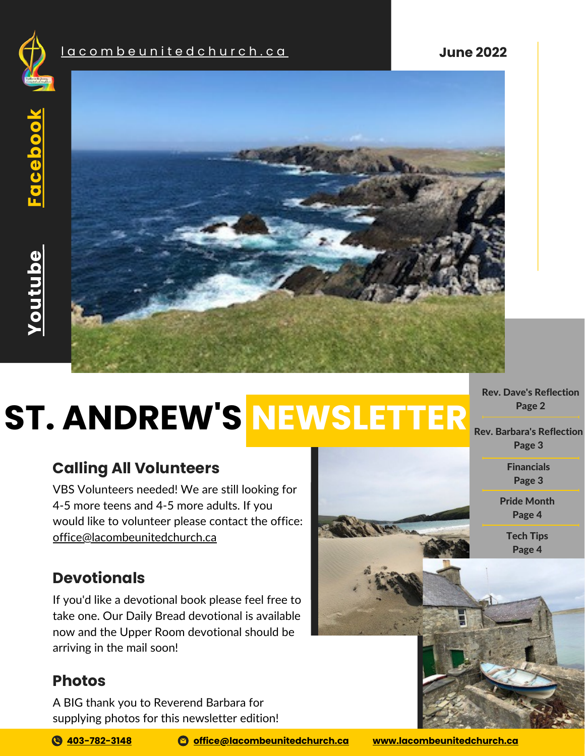

**[Y](https://www.youtube.com/c/lacombeunitedchurch)outube**



# **NEWSLETTER ST. ANDREW'S**

# **Calling All Volunteers**

VBS Volunteers needed! We are still looking for 4-5 more teens and 4-5 more adults. If you would like to volunteer please contact the office: [office@lacombeunitedchurch.ca](mailto:office@lacombeunitedchurch.ca)

### **Devotionals**

If you'd like a devotional book please feel free to take one. Our Daily Bread devotional is available now and the Upper Room devotional should be arriving in the mail soon!

### **Photos**

A BIG thank you to Reverend Barbara for supplying photos for this newsletter edition!

**[403-782-3148](tel:403-782-3148) [office@lacombeunitedchurch.ca](mailto:office@lacombeunitedchurch.ca) [www.lacombeunitedchurch.ca](http://www.lacombeunitedchurch.ca/)**

Rev. Dave's [Reflection](#page-1-0) [Page](#page-1-0) 2

Rev. Barbara's [Reflection](#page-2-0) [Page](#page-2-0) 3

> [Financials](#page-2-0) [Page](#page-2-0) 3

Pride [Month](#page-3-0) [Page](#page-3-0) 4

> [Tech](#page-3-0) Tips [Page](#page-3-0) 4

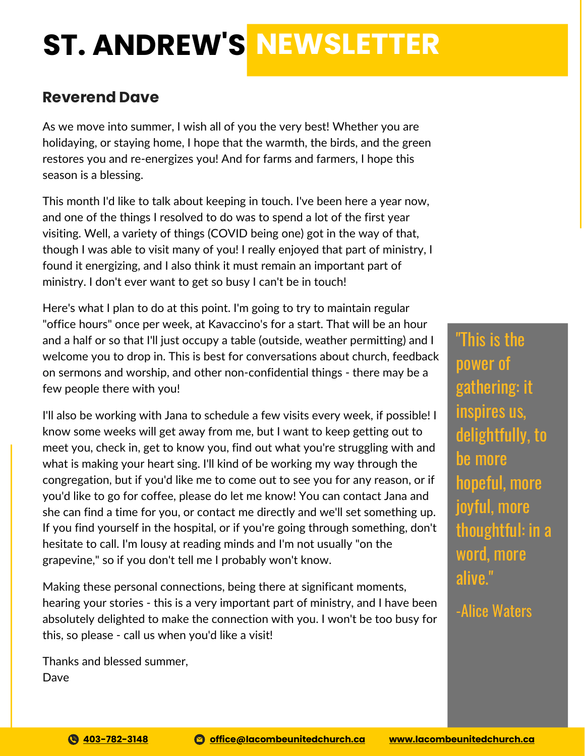# <span id="page-1-0"></span>**ST. ANDREW'S NEWSLETTER**

#### **Reverend Dave**

As we move into summer, I wish all of you the very best! Whether you are holidaying, or staying home, I hope that the warmth, the birds, and the green restores you and re-energizes you! And for farms and farmers, I hope this season is a blessing.

**m**ministry. I don't ever want to get so busy I can't be in touch! This month I'd like to talk about keeping in touch. I've been here a year now, and one of the things I resolved to do was to spend a lot of the first year visiting. Well, a variety of things (COVID being one) got in the way of that, though I was able to visit many of you! I really enjoyed that part of ministry, I found it energizing, and I also think it must remain an important part of

this<br>ek, a Here's what I plan to do at this point. I'm going to try to maintain regular "office hours" once per week, at Kavaccino's for a start. That will be an hour and a half or so that I'll just occupy a table (outside, weather permitting) and I welcome you to drop in. This is best for conversations about church, feedback on sermons and worship, and other non-confidential things - there may be a few people there with you!

I'll also be working with Jana to schedule a few visits every week, if possible! I know some weeks will get away from me, but I want to keep getting out to meet you, check in, get to know you, find out what you're struggling with and what is making your heart sing. I'll kind of be working my way through the congregation, but if you'd like me to come out to see you for any reason, or if you'd like to go for coffee, please do let me know! You can contact Jana and she can find a time for you, or contact me directly and we'll set something up. If you find yourself in the hospital, or if you're going through something, don't hesitate to call. I'm lousy at reading minds and I'm not usually "on the grapevine," so if you don't tell me I probably won't know.

Making these personal connections, being there at significant moments, hearing your stories - this is a very important part of ministry, and I have been absolutely delighted to make the connection with you. I won't be too busy for this, so please - call us when you'd like a visit!

Thanks and blessed summer, Dave

"This is the power of gathering: it inspires us, delightfully, to be more hopeful, more joyful, more thoughtful: in a word, more alive."

-Alice Waters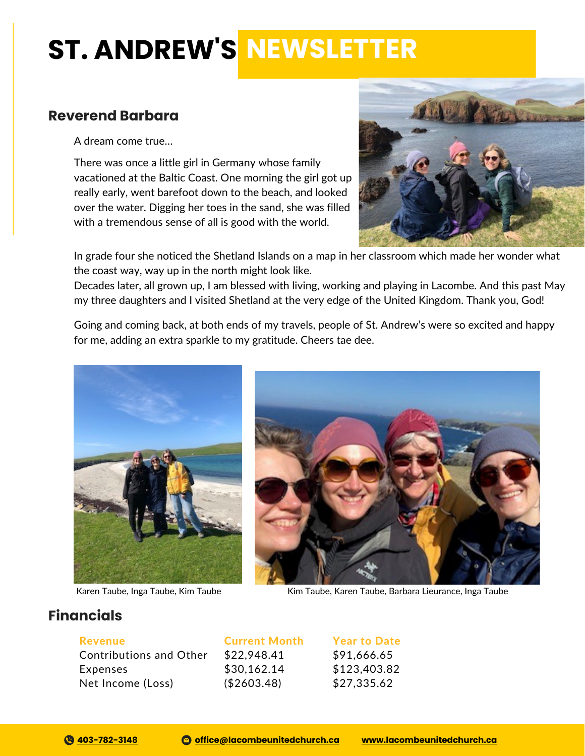# <span id="page-2-0"></span>**ST. ANDREW'S NEWSLETTER**

#### **Reverend Barbara**

A dream come true…

There was once a little girl in Germany whose family vacationed at the Baltic Coast. One morning the girl got up really early, went barefoot down to the beach, and looked over the water. Digging her toes in the sand, she was filled with a tremendous sense of all is good with the world.



In grade four she noticed the Shetland Islands on a map in her classroom which made her wonder what the coast way, way up in the north might look like.

Decades later, all grown up, I am blessed with living, working and playing in Lacombe. And this past May my three daughters and I visited Shetland at the very edge of the United Kingdom. Thank you, God!

Going and coming back, at both ends of my travels, people of St. Andrew's were so excited and happy for me, adding an extra sparkle to my gratitude. Cheers tae dee.



Karen Taube, Inga Taube, Kim Taube



Kim Taube, Karen Taube, Barbara Lieurance, Inga Taube

#### **Financials**

Revenue

Contributions and Other Expenses Net Income (Loss)

Current Month \$22,948.41 \$30,162.14 (\$2603.48)

Year to Date \$91,666.65 \$123,403.82 \$27,335.62